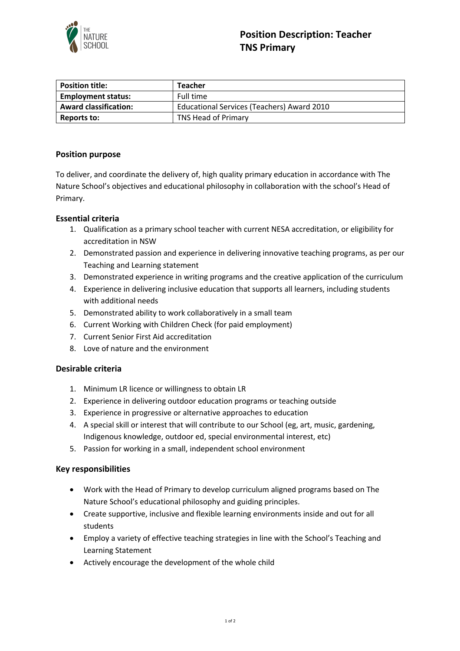

| <b>Position title:</b>       | <b>Teacher</b>                             |
|------------------------------|--------------------------------------------|
| <b>Employment status:</b>    | Full time                                  |
| <b>Award classification:</b> | Educational Services (Teachers) Award 2010 |
| Reports to:                  | TNS Head of Primary                        |

## **Position purpose**

To deliver, and coordinate the delivery of, high quality primary education in accordance with The Nature School's objectives and educational philosophy in collaboration with the school's Head of Primary.

### **Essential criteria**

- 1. Qualification as a primary school teacher with current NESA accreditation, or eligibility for accreditation in NSW
- 2. Demonstrated passion and experience in delivering innovative teaching programs, as per our Teaching and Learning statement
- 3. Demonstrated experience in writing programs and the creative application of the curriculum
- 4. Experience in delivering inclusive education that supports all learners, including students with additional needs
- 5. Demonstrated ability to work collaboratively in a small team
- 6. Current Working with Children Check (for paid employment)
- 7. Current Senior First Aid accreditation
- 8. Love of nature and the environment

# **Desirable criteria**

- 1. Minimum LR licence or willingness to obtain LR
- 2. Experience in delivering outdoor education programs or teaching outside
- 3. Experience in progressive or alternative approaches to education
- 4. A special skill or interest that will contribute to our School (eg, art, music, gardening, Indigenous knowledge, outdoor ed, special environmental interest, etc)
- 5. Passion for working in a small, independent school environment

#### **Key responsibilities**

- Work with the Head of Primary to develop curriculum aligned programs based on The Nature School's educational philosophy and guiding principles.
- Create supportive, inclusive and flexible learning environments inside and out for all students
- Employ a variety of effective teaching strategies in line with the School's Teaching and Learning Statement
- Actively encourage the development of the whole child